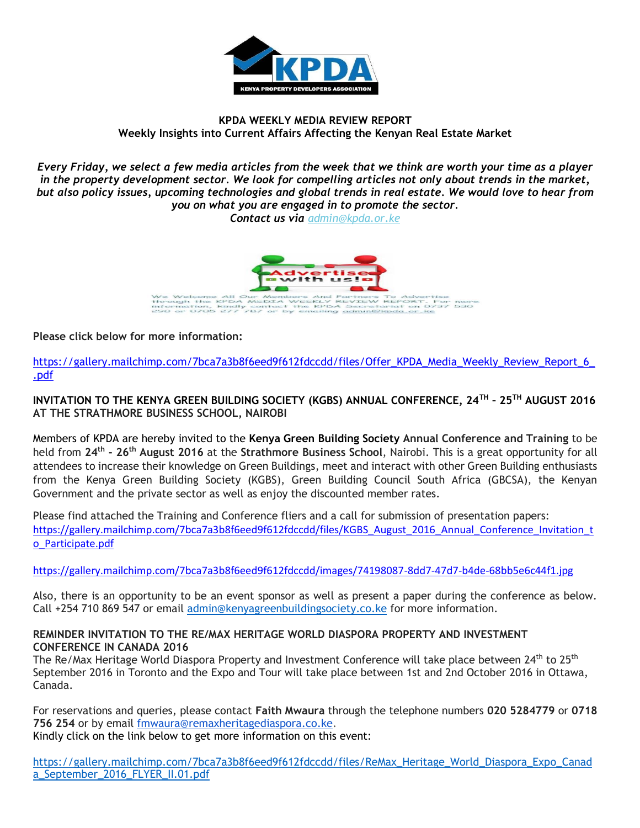

#### **KPDA WEEKLY MEDIA REVIEW REPORT Weekly Insights into Current Affairs Affecting the Kenyan Real Estate Market**

*Every Friday, we select a few media articles from the week that we think are worth your time as a player in the property development sector. We look for compelling articles not only about trends in the market, but also policy issues, upcoming technologies and global trends in real estate. We would love to hear from you on what you are engaged in to promote the sector.*

*Contact us via [admin@kpda.or](mailto:admin@kpda.or.ke).ke*



**Please click below for more information:** 

[https://gallery.mailchimp.com/7bca7a3b8f6eed9f612fdccdd/files/Offer\\_KPDA\\_Media\\_Weekly\\_Review\\_Report\\_6\\_](https://gallery.mailchimp.com/7bca7a3b8f6eed9f612fdccdd/files/Offer_KPDA_Media_Weekly_Review_Report_6_.pdf) [.pdf](https://gallery.mailchimp.com/7bca7a3b8f6eed9f612fdccdd/files/Offer_KPDA_Media_Weekly_Review_Report_6_.pdf)

**INVITATION TO THE KENYA GREEN BUILDING SOCIETY (KGBS) ANNUAL CONFERENCE, 24TH – 25TH AUGUST 2016 AT THE STRATHMORE BUSINESS SCHOOL, NAIROBI**

Members of KPDA are hereby invited to the **Kenya Green Building Society Annual Conference and Training** to be held from **24th - 26th August 2016** at the **Strathmore Business School**, Nairobi. This is a great opportunity for all attendees to increase their knowledge on Green Buildings, meet and interact with other Green Building enthusiasts from the Kenya Green Building Society (KGBS), Green Building Council South Africa (GBCSA), the Kenyan Government and the private sector as well as enjoy the discounted member rates.

Please find attached the Training and Conference fliers and a call for submission of presentation papers: [https://gallery.mailchimp.com/7bca7a3b8f6eed9f612fdccdd/files/KGBS\\_August\\_2016\\_Annual\\_Conference\\_Invitation\\_t](https://gallery.mailchimp.com/7bca7a3b8f6eed9f612fdccdd/images/74198087-8dd7-47d7-b4de-68bb5e6c44f1.jpg) [o\\_Participate.pdf](https://gallery.mailchimp.com/7bca7a3b8f6eed9f612fdccdd/images/74198087-8dd7-47d7-b4de-68bb5e6c44f1.jpg)

<https://gallery.mailchimp.com/7bca7a3b8f6eed9f612fdccdd/images/74198087-8dd7-47d7-b4de-68bb5e6c44f1.jpg>

Also, there is an opportunity to be an event sponsor as well as present a paper during the conference as below. Call +254 710 869 547 or email [admin@kenyagreenbuildingsociety.co.ke](mailto:admin@kenyagreenbuildingsociety.co.ke) for more information.

#### **REMINDER INVITATION TO THE RE/MAX HERITAGE WORLD DIASPORA PROPERTY AND INVESTMENT CONFERENCE IN CANADA 2016**

The Re/Max Heritage World Diaspora Property and Investment Conference will take place between 24<sup>th</sup> to 25<sup>th</sup> September 2016 in Toronto and the Expo and Tour will take place between 1st and 2nd October 2016 in Ottawa, Canada.

For reservations and queries, please contact **Faith Mwaura** through the telephone numbers **020 5284779** or **0718 756 254** or by email [fmwaura@remaxheritagediaspora.co.ke.](mailto:fmwaura@remaxheritagediaspora.co.ke) Kindly click on the link below to get more information on this event:

[https://gallery.mailchimp.com/7bca7a3b8f6eed9f612fdccdd/files/ReMax\\_Heritage\\_World\\_Diaspora\\_Expo\\_Canad](https://gallery.mailchimp.com/7bca7a3b8f6eed9f612fdccdd/files/ReMax_Heritage_World_Diaspora_Expo_Canada_September_2016_FLYER_II.01.pdf) [a\\_September\\_2016\\_FLYER\\_II.01.pdf](https://gallery.mailchimp.com/7bca7a3b8f6eed9f612fdccdd/files/ReMax_Heritage_World_Diaspora_Expo_Canada_September_2016_FLYER_II.01.pdf)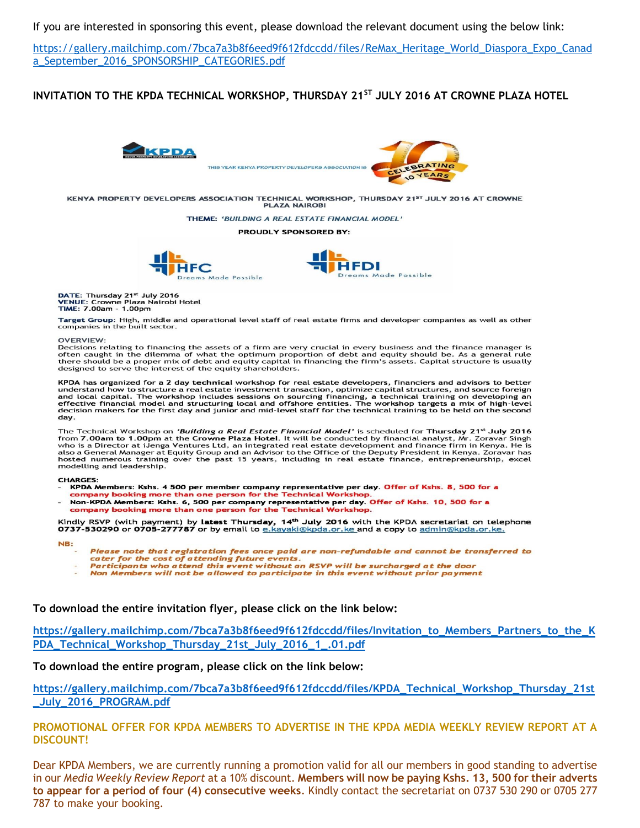If you are interested in sponsoring this event, please download the relevant document using the below link:

[https://gallery.mailchimp.com/7bca7a3b8f6eed9f612fdccdd/files/ReMax\\_Heritage\\_World\\_Diaspora\\_Expo\\_Canad](https://gallery.mailchimp.com/7bca7a3b8f6eed9f612fdccdd/files/ReMax_Heritage_World_Diaspora_Expo_Canada_September_2016_SPONSORSHIP_CATEGORIES.pdf) a September 2016 SPONSORSHIP CATEGORIES.pdf

#### **INVITATION TO THE KPDA TECHNICAL WORKSHOP, THURSDAY 21ST JULY 2016 AT CROWNE PLAZA HOTEL**



KENYA PROPERTY DEVELOPERS ASSOCIATION TECHNICAL WORKSHOP, THURSDAY 21ST JULY 2016 AT CROWNE **PLAZA NAIROBI** 

THEME: 'BUILDING A REAL ESTATE FINANCIAL MODEL'

PROUDLY SPONSORED BY:





DATE: Thursday 21st July 2016<br>VENUE: Crowne Plaza Nairobi Hotel TIME: 7.00am - 1.00pm

Target Group: High, middle and operational level staff of real estate firms and developer companies as well as other<br>companies in the built sector.

#### **OVERVIEW:**

Decisions relating to financing the assets of a firm are very crucial in every business and the finance manager is<br>often caught in the dilemma of what the optimum proportion of debt and equity should be. As a general rule<br> designed to serve the interest of the equity shareholders.

KPDA has organized for a 2 day technical workshop for real estate developers, financiers and advisors to better<br>understand how to structure a real estate investment transaction, optimize capital structures, and source fore and local capital. The workshop includes sessions on sourcing financing, a technical training on developing an<br>effective financial model and structuring local and offshore entities. The workshop targets a mix of high-level day.

The Technical Workshop on 'Building a Real Estate Financial Model' is scheduled for Thursday 21st July 2016 from 7.00am to 1.00pm at the Crowne Plaza Hotel. It will be conducted by financial analyst, Mr. Zoravar Singh<br>who is a Director at iJenga Ventures Ltd, an integrated real estate development and finance firm in Kenya. He is also a General Manager at Equity Group and an Advisor to the Office of the Deputy President in Kenya. Zoravar has<br>hosted numerous training over the past 15 years, including in real estate finance, entrepreneurship, excel modelling and leadership.

#### **CHARGES:**

- KPDA Members: Kshs. 4 500 per member company representative per day. Offer of Kshs. 8, 500 for a
- company booking more than one person for the Technical Workshop Non-KPDA Members: Kshs. 6, 500 per company representative per day. Offer of Kshs. 10, 500 for a company booking more than one person for the Technical Workshop.

Kindly RSVP (with payment) by latest Thursday, 14<sup>th</sup> July 2016 with the KPDA secretariat on telephone<br>0737-530290 or 0705-277787 or by email to e.kayaki@kpda.or.ke and a copy to admin@kpda.or.ke.

#### NB:

- Please note that registration fees once paid are non-refundable and cannot be transferred to
- cater for the cost of attending future events.
- Participants who attend this event without an RSVP will be surcharged at the door Non Members will not be allowed to participate in this event without prior payment

#### **To download the entire invitation flyer, please click on the link below:**

**[https://gallery.mailchimp.com/7bca7a3b8f6eed9f612fdccdd/files/Invitation\\_to\\_Members\\_Partners\\_to\\_the\\_K](https://gallery.mailchimp.com/7bca7a3b8f6eed9f612fdccdd/files/Invitation_to_Members_Partners_to_the_KPDA_Technical_Workshop_Thursday_21st_July_2016_1_.01.pdf) [PDA\\_Technical\\_Workshop\\_Thursday\\_21st\\_July\\_2016\\_1\\_.01.pdf](https://gallery.mailchimp.com/7bca7a3b8f6eed9f612fdccdd/files/Invitation_to_Members_Partners_to_the_KPDA_Technical_Workshop_Thursday_21st_July_2016_1_.01.pdf)**

#### **To download the entire program, please click on the link below:**

**[https://gallery.mailchimp.com/7bca7a3b8f6eed9f612fdccdd/files/KPDA\\_Technical\\_Workshop\\_Thursday\\_21st](https://gallery.mailchimp.com/7bca7a3b8f6eed9f612fdccdd/files/KPDA_Technical_Workshop_Thursday_21st_July_2016_PROGRAM.pdf) [\\_July\\_2016\\_PROGRAM.pdf](https://gallery.mailchimp.com/7bca7a3b8f6eed9f612fdccdd/files/KPDA_Technical_Workshop_Thursday_21st_July_2016_PROGRAM.pdf)**

**PROMOTIONAL OFFER FOR KPDA MEMBERS TO ADVERTISE IN THE KPDA MEDIA WEEKLY REVIEW REPORT AT A DISCOUNT!**

Dear KPDA Members, we are currently running a promotion valid for all our members in good standing to advertise in our *Media Weekly Review Report* at a 10% discount. **Members will now be paying Kshs. 13, 500 for their adverts to appear for a period of four (4) consecutive weeks**. Kindly contact the secretariat on 0737 530 290 or 0705 277 787 to make your booking.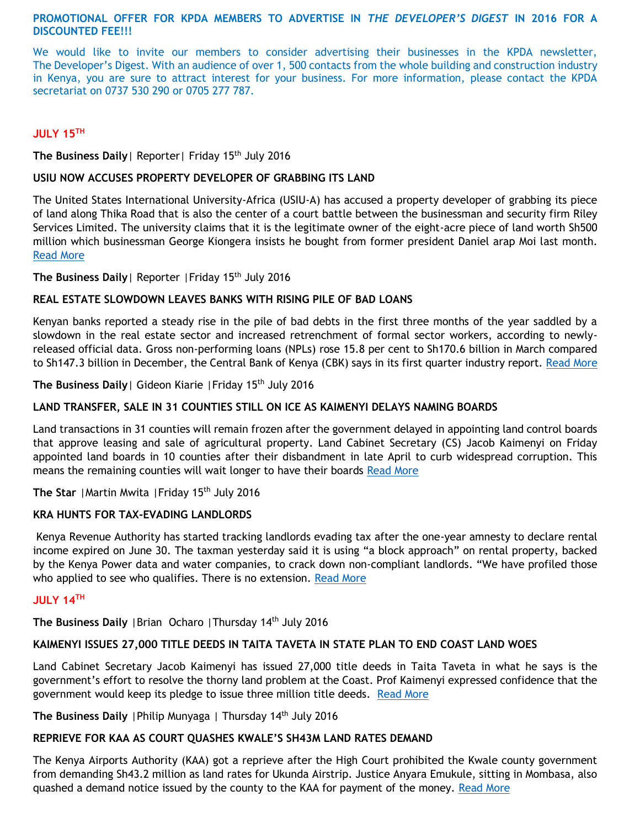#### **PROMOTIONAL OFFER FOR KPDA MEMBERS TO ADVERTISE IN** *THE DEVELOPER'S DIGEST* **IN 2016 FOR A DISCOUNTED FEE!!!**

We would like to invite our members to consider advertising their businesses in the KPDA newsletter, The Developer's Digest. With an audience of over 1, 500 contacts from the whole building and construction industry in Kenya, you are sure to attract interest for your business. For more information, please contact the KPDA secretariat on 0737 530 290 or 0705 277 787.

### **JULY 15TH**

**The Business Daily** | Reporter | Friday 15<sup>th</sup> July 2016

### **USIU NOW ACCUSES PROPERTY DEVELOPER OF GRABBING ITS LAND**

The United States International University-Africa (USIU-A) has accused a property developer of grabbing its piece of land along Thika Road that is also the center of a court battle between the businessman and security firm Riley Services Limited. The university claims that it is the legitimate owner of the eight-acre piece of land worth Sh500 million which businessman George Kiongera insists he bought from former president Daniel arap Moi last month. [Read More](http://www.businessdailyafrica.com/USIU-now-accuses-property-developer-of-grabbing-its-land/-/539546/3292106/-/1xkyroz/-/index.html)

The Business Daily | Reporter | Friday 15<sup>th</sup> July 2016

### **REAL ESTATE SLOWDOWN LEAVES BANKS WITH RISING PILE OF BAD LOANS**

Kenyan banks reported a steady rise in the pile of bad debts in the first three months of the year saddled by a slowdown in the real estate sector and increased retrenchment of formal sector workers, according to newlyreleased official data. Gross non-performing loans (NPLs) rose 15.8 per cent to Sh170.6 billion in March compared to Sh147.3 billion in December, the Central Bank of Kenya (CBK) says in its first quarter industry report. [Read More](http://www.businessdailyafrica.com/Real-estate-slowdown-leaves-banks-with-bad-loans/-/539552/3289432/-/131krs7/-/index.html)

**The Business Daily**| Gideon Kiarie |Friday 15th July 2016

### **LAND TRANSFER, SALE IN 31 COUNTIES STILL ON ICE AS KAIMENYI DELAYS NAMING BOARDS**

Land transactions in 31 counties will remain frozen after the government delayed in appointing land control boards that approve leasing and sale of agricultural property. Land Cabinet Secretary (CS) Jacob Kaimenyi on Friday appointed land boards in 10 counties after their disbandment in late April to curb widespread corruption. This means the remaining counties will wait longer to have their boards [Read More](http://www.businessdailyafrica.com/Kaimenyi-delays-naming-boards/-/539546/3288980/-/3r4fes/-/index.html)

**The Star** |Martin Mwita |Friday 15th July 2016

#### **KRA HUNTS FOR TAX-EVADING LANDLORDS**

Kenya Revenue Authority has started tracking landlords evading tax after the one-year amnesty to declare rental income expired on June 30. The taxman yesterday said it is using "a block approach" on rental property, backed by the Kenya Power data and water companies, to crack down non-compliant landlords. "We have profiled those who applied to see who qualifies. There is no extension. [Read More](http://www.the-star.co.ke/news/2016/07/15/kra-hunts-for-tax-evading-landlords_c1386479)

#### **JULY 14TH**

**The Business Daily** |Brian Ocharo |Thursday 14th July 2016

## **KAIMENYI ISSUES 27,000 TITLE DEEDS IN TAITA TAVETA IN STATE PLAN TO END COAST LAND WOES**

Land Cabinet Secretary Jacob Kaimenyi has issued 27,000 title deeds in Taita Taveta in what he says is the government's effort to resolve the thorny land problem at the Coast. Prof Kaimenyi expressed confidence that the government would keep its pledge to issue three million title deeds. [Read More](http://www.businessdailyafrica.com/Corporate-News/Kaimenyi-issues-27-000-title-deeds-in-Taita-Taveta-/-/539550/3295054/-/kbxm8w/-/index.html)

**The Business Daily** |Philip Munyaga | Thursday 14th July 2016

# **REPRIEVE FOR KAA AS COURT QUASHES KWALE'S SH43M LAND RATES DEMAND**

The Kenya Airports Authority (KAA) got a reprieve after the High Court prohibited the Kwale county government from demanding Sh43.2 million as land rates for Ukunda Airstrip. Justice Anyara Emukule, sitting in Mombasa, also quashed a demand notice issued by the county to the KAA for payment of the money. [Read More](http://www.businessdailyafrica.com/Corporate-News/Reprieve-for-KAA-as-court-quashes-kwale-land-rates/-/539550/3295062/-/vowcfb/-/index.html)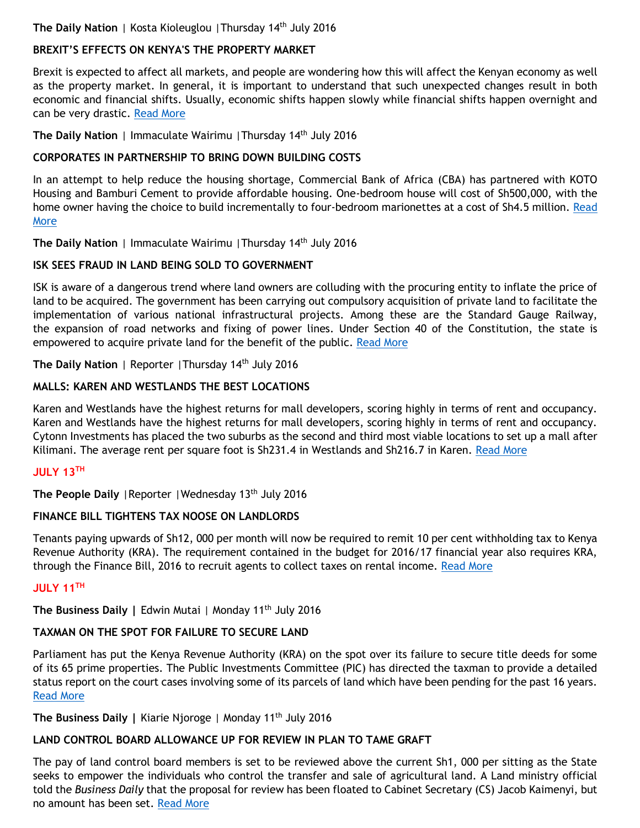### **The Daily Nation** | Kosta Kioleuglou |Thursday 14 th July 2016

### **BREXIT'S EFFECTS ON KENYA'S THE PROPERTY MARKET**

Brexit is expected to affect all markets, and people are wondering how this will affect the Kenyan economy as well as the property market. In general, it is important to understand that such unexpected changes result in both economic and financial shifts. Usually, economic shifts happen slowly while financial shifts happen overnight and can be very drastic. [Read More](http://www.nation.co.ke/lifestyle/DN2/What-Brexit-means-to-Kenya-s--property-market/-/957860/3293992/-/6xmk79z/-/index.html)

**The Daily Nation** | Immaculate Wairimu | Thursday 14<sup>th</sup> July 2016

## **CORPORATES IN PARTNERSHIP TO BRING DOWN BUILDING COSTS**

In an attempt to help reduce the housing shortage, Commercial Bank of Africa (CBA) has partnered with KOTO Housing and Bamburi Cement to provide affordable housing. One-bedroom house will cost of Sh500,000, with the home owner having the choice to build incrementally to four-bedroom marionettes at a cost of Sh4.5 million. Read [More](http://www.nation.co.ke/lifestyle/DN2/Corporates-in-partnership-to-bring-down-building-costs/-/957860/3293998/-/6qm8el/-/index.html)

**The Daily Nation** | Immaculate Wairimu |Thursday 14th July 2016

### **ISK SEES FRAUD IN LAND BEING SOLD TO GOVERNMENT**

ISK is aware of a dangerous trend where land owners are colluding with the procuring entity to inflate the price of land to be acquired. The government has been carrying out compulsory acquisition of private land to facilitate the implementation of various national infrastructural projects. Among these are the Standard Gauge Railway, the expansion of road networks and fixing of power lines. Under Section 40 of the Constitution, the state is empowered to acquire private land for the benefit of the public. [Read More](file:///C:/Users/user/Documents/23-06-2016_14-54-47_A007632799N_ITR.zip)

**The Daily Nation** | Reporter |Thursday 14th July 2016

### **MALLS: KAREN AND WESTLANDS THE BEST LOCATIONS**

Karen and Westlands have the highest returns for mall developers, scoring highly in terms of rent and occupancy. Karen and Westlands have the highest returns for mall developers, scoring highly in terms of rent and occupancy. Cytonn Investments has placed the two suburbs as the second and third most viable locations to set up a mall after Kilimani. The average rent per square foot is Sh231.4 in Westlands and Sh216.7 in Karen. [Read More](http://www.nation.co.ke/lifestyle/DN2/-Karen-and-Westlands-the-best-locations/-/957860/3293996/-/1xihty/-/index.html)

#### **JULY 13TH**

**The People Daily** | Reporter | Wednesday 13<sup>th</sup> July 2016

#### **FINANCE BILL TIGHTENS TAX NOOSE ON LANDLORDS**

Tenants paying upwards of Sh12, 000 per month will now be required to remit 10 per cent withholding tax to Kenya Revenue Authority (KRA). The requirement contained in the budget for 2016/17 financial year also requires KRA, through the Finance Bill, 2016 to recruit agents to collect taxes on rental income. [Read More](http://www.mediamaxnetwork.co.ke/business/235152/finance-bill-tightens-tax-noose-landlords/)

### **JULY 11TH**

**The Business Daily | Edwin Mutai | Monday 11<sup>th</sup> July 2016** 

## **TAXMAN ON THE SPOT FOR FAILURE TO SECURE LAND**

Parliament has put the Kenya Revenue Authority (KRA) on the spot over its failure to secure title deeds for some of its 65 prime properties. The Public Investments Committee (PIC) has directed the taxman to provide a detailed status report on the court cases involving some of its parcels of land which have been pending for the past 16 years. [Read More](http://www.businessdailyafrica.com/Taxman-on-the-spot-for-failure-to-secure-land/-/539546/3290566/-/wds9djz/-/index.html)

The Business Daily | Kiarie Njoroge | Monday 11<sup>th</sup> July 2016

## **LAND CONTROL BOARD ALLOWANCE UP FOR REVIEW IN PLAN TO TAME GRAFT**

The pay of land control board members is set to be reviewed above the current Sh1, 000 per sitting as the State seeks to empower the individuals who control the transfer and sale of agricultural land. A Land ministry official told the *Business Daily* that the proposal for review has been floated to Cabinet Secretary (CS) Jacob Kaimenyi, but no amount has been set. [Read More](http://www.businessdailyafrica.com/Land-control-board-allowance-up-for-review/-/539546/3290542/-/sp3lg4/-/index.html)